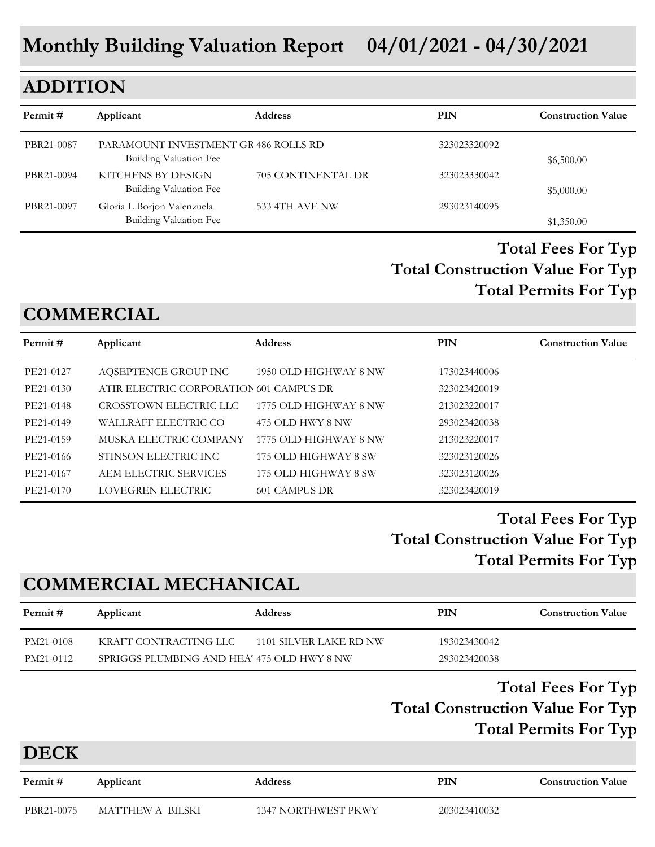# **ADDITION**

| Permit #   | Applicant                                                      | <b>Address</b>     | PIN          | <b>Construction Value</b> |
|------------|----------------------------------------------------------------|--------------------|--------------|---------------------------|
| PBR21-0087 | PARAMOUNT INVESTMENT GR 486 ROLLS RD<br>Building Valuation Fee |                    | 323023320092 | \$6,500.00                |
| PBR21-0094 | KITCHENS BY DESIGN<br>Building Valuation Fee                   | 705 CONTINENTAL DR | 323023330042 | \$5,000.00                |
| PBR21-0097 | Gloria L Borjon Valenzuela<br>Building Valuation Fee           | 533 4TH AVE NW     | 293023140095 | \$1,350.00                |

## **Total Construction Value For Typ Total Fees For Typ Total Permits For Typ**

## **COMMERCIAL**

| Permit #  | Applicant                               | <b>Address</b>        | <b>PIN</b>   | <b>Construction Value</b> |
|-----------|-----------------------------------------|-----------------------|--------------|---------------------------|
| PE21-0127 | AQSEPTENCE GROUP INC                    | 1950 OLD HIGHWAY 8 NW | 173023440006 |                           |
| PE21-0130 | ATIR ELECTRIC CORPORATION 601 CAMPUS DR |                       | 323023420019 |                           |
| PE21-0148 | CROSSTOWN ELECTRIC LLC                  | 1775 OLD HIGHWAY 8 NW | 213023220017 |                           |
| PE21-0149 | WALLRAFF ELECTRIC CO                    | 475 OLD HWY 8 NW      | 293023420038 |                           |
| PE21-0159 | MUSKA ELECTRIC COMPANY                  | 1775 OLD HIGHWAY 8 NW | 213023220017 |                           |
| PE21-0166 | STINSON ELECTRIC INC                    | 175 OLD HIGHWAY 8 SW  | 323023120026 |                           |
| PE21-0167 | AEM ELECTRIC SERVICES                   | 175 OLD HIGHWAY 8 SW  | 323023120026 |                           |
| PE21-0170 | LOVEGREN ELECTRIC                       | 601 CAMPUS DR         | 323023420019 |                           |

## **Total Construction Value For Typ Total Fees For Typ Total Permits For Typ**

## **COMMERCIAL MECHANICAL**

| Permit #  | Applicant                                  | <b>Address</b>         | PIN          | <b>Construction Value</b> |
|-----------|--------------------------------------------|------------------------|--------------|---------------------------|
| PM21-0108 | KRAFT CONTRACTING LLC                      | 1101 SILVER LAKE RD NW | 193023430042 |                           |
| PM21-0112 | SPRIGGS PLUMBING AND HEA' 475 OLD HWY 8 NW |                        | 293023420038 |                           |

## **Total Construction Value For Typ Total Fees For Typ Total Permits For Typ**

#### **DECK**

| Permit #   | Applicant        | <b>Address</b>             | PIN          | <b>Construction Value</b> |
|------------|------------------|----------------------------|--------------|---------------------------|
| PBR21-0075 | MATTHEW A BILSKI | <b>1347 NORTHWEST PKWY</b> | 203023410032 |                           |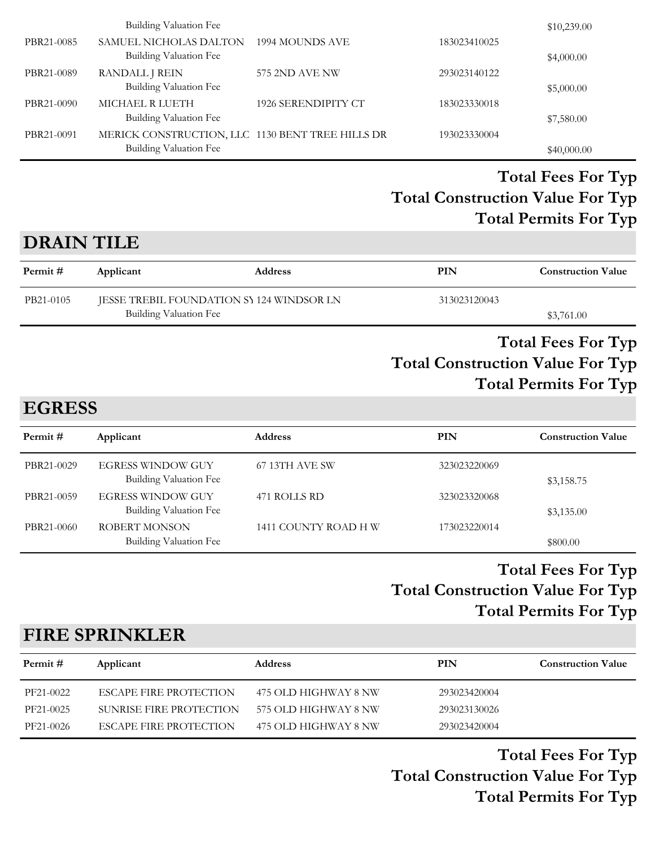|            | <b>Building Valuation Fee</b>                                              |                     |              | \$10,239.00 |
|------------|----------------------------------------------------------------------------|---------------------|--------------|-------------|
| PBR21-0085 | SAMUEL NICHOLAS DALTON<br>Building Valuation Fee                           | 1994 MOUNDS AVE     | 183023410025 | \$4,000.00  |
| PBR21-0089 | RANDALL J REIN<br>Building Valuation Fee                                   | 575 2ND AVE NW      | 293023140122 | \$5,000.00  |
| PBR21-0090 | MICHAEL R LUETH<br>Building Valuation Fee                                  | 1926 SERENDIPITY CT | 183023330018 | \$7,580.00  |
| PBR21-0091 | MERICK CONSTRUCTION, LLC 1130 BENT TREE HILLS DR<br>Building Valuation Fee |                     | 193023330004 | \$40,000.00 |

## **DRAIN TILE**

| Permit #  | Applicant                                 | <b>Address</b> | PIN          | <b>Construction Value</b> |
|-----------|-------------------------------------------|----------------|--------------|---------------------------|
| PB21-0105 | JESSE TREBIL FOUNDATION SY 124 WINDSOR LN |                | 313023120043 |                           |
|           | Building Valuation Fee                    |                |              | \$3,761.00                |

#### **Total Construction Value For Typ Total Fees For Typ Total Permits For Typ**

# **EGRESS**

| Permit #   | Applicant                                          | <b>Address</b>       | PIN          | <b>Construction Value</b> |
|------------|----------------------------------------------------|----------------------|--------------|---------------------------|
| PBR21-0029 | EGRESS WINDOW GUY<br>Building Valuation Fee        | 67 13TH AVE SW       | 323023220069 | \$3,158.75                |
| PBR21-0059 | <b>EGRESS WINDOW GUY</b><br>Building Valuation Fee | 471 ROLLS RD         | 323023320068 | \$3,135.00                |
| PBR21-0060 | ROBERT MONSON<br>Building Valuation Fee            | 1411 COUNTY ROAD H W | 173023220014 | \$800.00                  |

## **Total Construction Value For Typ Total Fees For Typ Total Permits For Typ**

## **FIRE SPRINKLER**

| Permit #  | Applicant                     | <b>Address</b>       | PIN          | <b>Construction Value</b> |
|-----------|-------------------------------|----------------------|--------------|---------------------------|
| PF21-0022 | <b>ESCAPE FIRE PROTECTION</b> | 475 OLD HIGHWAY 8 NW | 293023420004 |                           |
| PF21-0025 | SUNRISE FIRE PROTECTION       | 575 OLD HIGHWAY 8 NW | 293023130026 |                           |
| PF21-0026 | <b>ESCAPE FIRE PROTECTION</b> | 475 OLD HIGHWAY 8 NW | 293023420004 |                           |

**Total Construction Value For Typ Total Fees For Typ Total Permits For Typ**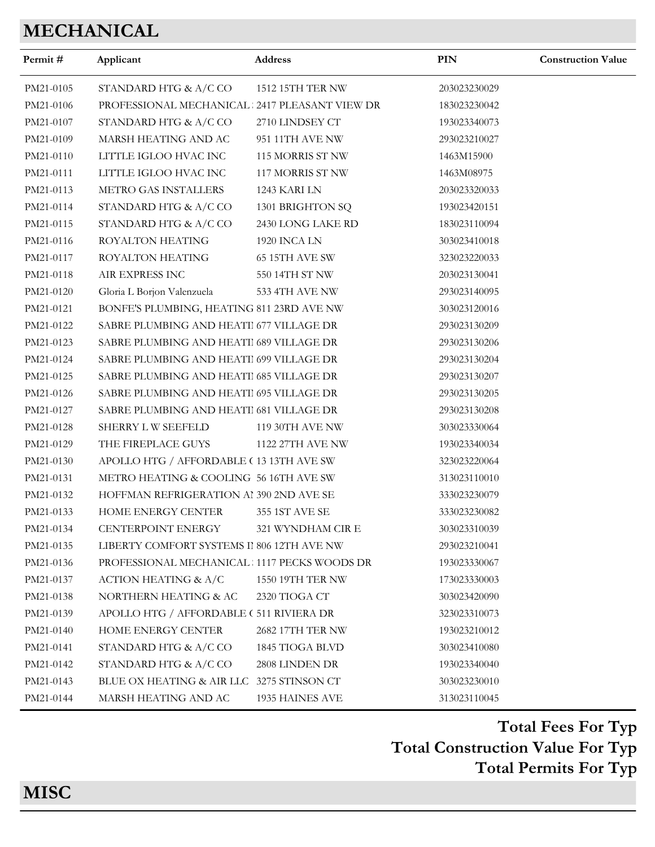# **MECHANICAL**

| Permit#   | Applicant                                     | Address           | <b>PIN</b>   | <b>Construction Value</b> |
|-----------|-----------------------------------------------|-------------------|--------------|---------------------------|
| PM21-0105 | STANDARD HTG & A/C CO                         | 1512 15TH TER NW  | 203023230029 |                           |
| PM21-0106 | PROFESSIONAL MECHANICAL 2417 PLEASANT VIEW DR |                   | 183023230042 |                           |
| PM21-0107 | STANDARD HTG & A/C CO                         | 2710 LINDSEY CT   | 193023340073 |                           |
| PM21-0109 | MARSH HEATING AND AC                          | 951 11TH AVE NW   | 293023210027 |                           |
| PM21-0110 | LITTLE IGLOO HVAC INC                         | 115 MORRIS ST NW  | 1463M15900   |                           |
| PM21-0111 | LITTLE IGLOO HVAC INC                         | 117 MORRIS ST NW  | 1463M08975   |                           |
| PM21-0113 | METRO GAS INSTALLERS                          | 1243 KARI LN      | 203023320033 |                           |
| PM21-0114 | STANDARD HTG & A/C CO                         | 1301 BRIGHTON SQ  | 193023420151 |                           |
| PM21-0115 | STANDARD HTG & A/C CO                         | 2430 LONG LAKE RD | 183023110094 |                           |
| PM21-0116 | ROYALTON HEATING                              | 1920 INCA LN      | 303023410018 |                           |
| PM21-0117 | <b>ROYALTON HEATING</b>                       | 65 15TH AVE SW    | 323023220033 |                           |
| PM21-0118 | AIR EXPRESS INC                               | 550 14TH ST NW    | 203023130041 |                           |
| PM21-0120 | Gloria L Borjon Valenzuela                    | 533 4TH AVE NW    | 293023140095 |                           |
| PM21-0121 | BONFE'S PLUMBING, HEATING 811 23RD AVE NW     |                   | 303023120016 |                           |
| PM21-0122 | SABRE PLUMBING AND HEATII 677 VILLAGE DR      |                   | 293023130209 |                           |
| PM21-0123 | SABRE PLUMBING AND HEATII 689 VILLAGE DR      |                   | 293023130206 |                           |
| PM21-0124 | SABRE PLUMBING AND HEATII 699 VILLAGE DR      |                   | 293023130204 |                           |
| PM21-0125 | SABRE PLUMBING AND HEATII 685 VILLAGE DR      |                   | 293023130207 |                           |
| PM21-0126 | SABRE PLUMBING AND HEATI 695 VILLAGE DR       |                   | 293023130205 |                           |
| PM21-0127 | SABRE PLUMBING AND HEATI 681 VILLAGE DR       |                   | 293023130208 |                           |
| PM21-0128 | SHERRY LW SEEFELD                             | 119 30TH AVE NW   | 303023330064 |                           |
| PM21-0129 | THE FIREPLACE GUYS                            | 1122 27TH AVE NW  | 193023340034 |                           |
| PM21-0130 | APOLLO HTG / AFFORDABLE (13 13TH AVE SW       |                   | 323023220064 |                           |
| PM21-0131 | METRO HEATING & COOLING 56 16TH AVE SW        |                   | 313023110010 |                           |
| PM21-0132 | HOFFMAN REFRIGERATION AI 390 2ND AVE SE       |                   | 333023230079 |                           |
| PM21-0133 | HOME ENERGY CENTER                            | 355 1ST AVE SE    | 333023230082 |                           |
| PM21-0134 | <b>CENTERPOINT ENERGY</b>                     | 321 WYNDHAM CIR E | 303023310039 |                           |
| PM21-0135 | LIBERTY COMFORT SYSTEMS II 806 12TH AVE NW    |                   | 293023210041 |                           |
| PM21-0136 | PROFESSIONAL MECHANICAL 1117 PECKS WOODS DR   |                   | 193023330067 |                           |
| PM21-0137 | <b>ACTION HEATING &amp; A/C</b>               | 1550 19TH TER NW  | 173023330003 |                           |
| PM21-0138 | NORTHERN HEATING & AC                         | 2320 TIOGA CT     | 303023420090 |                           |
| PM21-0139 | APOLLO HTG / AFFORDABLE (511 RIVIERA DR       |                   | 323023310073 |                           |
| PM21-0140 | HOME ENERGY CENTER                            | 2682 17TH TER NW  | 193023210012 |                           |
| PM21-0141 | STANDARD HTG & A/C CO                         | 1845 TIOGA BLVD   | 303023410080 |                           |
| PM21-0142 | STANDARD HTG & A/C CO                         | 2808 LINDEN DR    | 193023340040 |                           |
| PM21-0143 | BLUE OX HEATING & AIR LLC                     | 3275 STINSON CT   | 303023230010 |                           |
| PM21-0144 | MARSH HEATING AND AC                          | 1935 HAINES AVE   | 313023110045 |                           |

**Total Construction Value For Typ Total Fees For Typ Total Permits For Typ**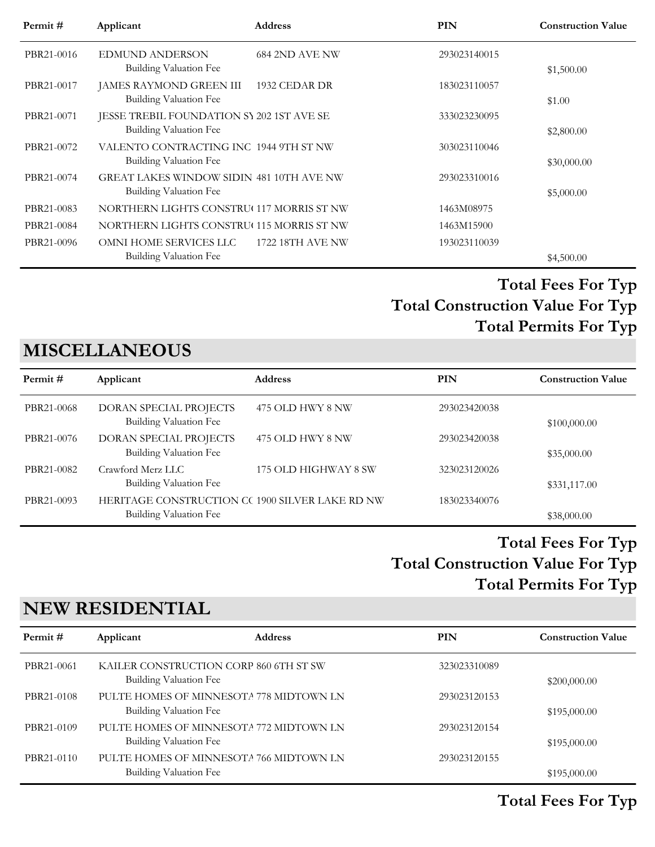| Permit#    | Applicant                                       | <b>Address</b>        | PIN          | <b>Construction Value</b> |
|------------|-------------------------------------------------|-----------------------|--------------|---------------------------|
| PBR21-0016 | <b>EDMUND ANDERSON</b>                          | <b>684 2ND AVE NW</b> | 293023140015 |                           |
|            | Building Valuation Fee                          |                       |              | \$1,500.00                |
| PBR21-0017 | JAMES RAYMOND GREEN III                         | 1932 CEDAR DR         | 183023110057 |                           |
|            | Building Valuation Fee                          |                       |              | \$1.00                    |
| PBR21-0071 | JESSE TREBIL FOUNDATION SY 202 1ST AVE SE       |                       | 333023230095 |                           |
|            | Building Valuation Fee                          |                       |              | \$2,800.00                |
| PBR21-0072 | VALENTO CONTRACTING INC 1944 9TH ST NW          |                       | 303023110046 |                           |
|            | Building Valuation Fee                          |                       |              | \$30,000.00               |
| PBR21-0074 | <b>GREAT LAKES WINDOW SIDIN 481 10TH AVE NW</b> |                       | 293023310016 |                           |
|            | Building Valuation Fee                          |                       |              | \$5,000.00                |
| PBR21-0083 | NORTHERN LIGHTS CONSTRU(117 MORRIS ST NW        |                       | 1463M08975   |                           |
| PBR21-0084 | NORTHERN LIGHTS CONSTRU(115 MORRIS ST NW        |                       | 1463M15900   |                           |
| PBR21-0096 | OMNI HOME SERVICES LLC                          | 1722 18TH AVE NW      | 193023110039 |                           |
|            | Building Valuation Fee                          |                       |              | \$4,500.00                |

# **MISCELLANEOUS**

| Permit#    | Applicant                                                                 | <b>Address</b>       | PIN          | <b>Construction Value</b> |
|------------|---------------------------------------------------------------------------|----------------------|--------------|---------------------------|
| PBR21-0068 | DORAN SPECIAL PROJECTS<br>Building Valuation Fee                          | 475 OLD HWY 8 NW     | 293023420038 | \$100,000.00              |
| PBR21-0076 | DORAN SPECIAL PROJECTS<br>Building Valuation Fee                          | 475 OLD HWY 8 NW     | 293023420038 | \$35,000.00               |
| PBR21-0082 | Crawford Merz LLC<br>Building Valuation Fee                               | 175 OLD HIGHWAY 8 SW | 323023120026 | \$331,117.00              |
| PBR21-0093 | HERITAGE CONSTRUCTION CC 1900 SILVER LAKE RD NW<br>Building Valuation Fee |                      | 183023340076 | \$38,000.00               |

## **Total Construction Value For Typ Total Fees For Typ Total Permits For Typ**

# **NEW RESIDENTIAL**

| Permit #   | Applicant                                                         | <b>Address</b>                          | PIN          | <b>Construction Value</b> |
|------------|-------------------------------------------------------------------|-----------------------------------------|--------------|---------------------------|
| PBR21-0061 | Building Valuation Fee                                            | KAILER CONSTRUCTION CORP 860 6TH ST SW  | 323023310089 | \$200,000.00              |
| PBR21-0108 | Building Valuation Fee                                            | PULTE HOMES OF MINNESOTA 778 MIDTOWN LN | 293023120153 | \$195,000.00              |
| PBR21-0109 | PULTE HOMES OF MINNESOTA 772 MIDTOWN LN<br>Building Valuation Fee |                                         | 293023120154 | \$195,000.00              |
| PBR21-0110 | <b>Building Valuation Fee</b>                                     | PULTE HOMES OF MINNESOTA 766 MIDTOWN LN | 293023120155 | \$195,000.00              |

## **Total Fees For Typ**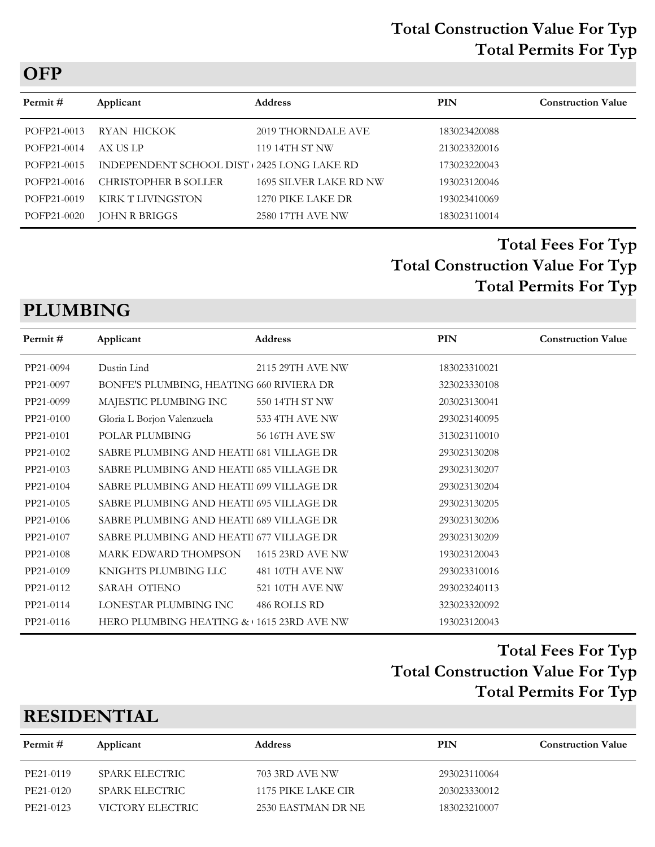#### **Total Construction Value For Typ Total Permits For Typ**

| Permit #    | Applicant                                   | <b>Address</b>                | <b>PIN</b>   | <b>Construction Value</b> |
|-------------|---------------------------------------------|-------------------------------|--------------|---------------------------|
| POFP21-0013 | RYAN HICKOK                                 | 2019 THORNDALE AVE            | 183023420088 |                           |
| POFP21-0014 | AX US LP                                    | 119 14TH ST NW                | 213023320016 |                           |
| POFP21-0015 | INDEPENDENT SCHOOL DIST + 2425 LONG LAKE RD |                               | 173023220043 |                           |
| POFP21-0016 | <b>CHRISTOPHER B SOLLER</b>                 | <b>1695 SILVER LAKE RD NW</b> | 193023120046 |                           |
| POFP21-0019 | KIRK T LIVINGSTON                           | 1270 PIKE LAKE DR             | 193023410069 |                           |
| POFP21-0020 | <b>JOHN R BRIGGS</b>                        | 2580 17TH AVE NW              | 183023110014 |                           |

## **Total Construction Value For Typ Total Fees For Typ Total Permits For Typ**

# **PLUMBING**

| Permit #  | Applicant                                | <b>Address</b>        | <b>PIN</b>   | <b>Construction Value</b> |
|-----------|------------------------------------------|-----------------------|--------------|---------------------------|
| PP21-0094 | Dustin Lind                              | 2115 29TH AVE NW      | 183023310021 |                           |
| PP21-0097 | BONFE'S PLUMBING, HEATING 660 RIVIERA DR |                       | 323023330108 |                           |
| PP21-0099 | MAJESTIC PLUMBING INC                    | 550 14TH ST NW        | 203023130041 |                           |
| PP21-0100 | Gloria L Borjon Valenzuela               | 533 4TH AVE NW        | 293023140095 |                           |
| PP21-0101 | POLAR PLUMBING                           | <b>56 16TH AVE SW</b> | 313023110010 |                           |
| PP21-0102 | SABRE PLUMBING AND HEATI 681 VILLAGE DR  |                       | 293023130208 |                           |
| PP21-0103 | SABRE PLUMBING AND HEATI 685 VILLAGE DR  |                       | 293023130207 |                           |
| PP21-0104 | SABRE PLUMBING AND HEATI 699 VILLAGE DR  |                       | 293023130204 |                           |
| PP21-0105 | SABRE PLUMBING AND HEATI 695 VILLAGE DR  |                       | 293023130205 |                           |
| PP21-0106 | SABRE PLUMBING AND HEATI 689 VILLAGE DR  |                       | 293023130206 |                           |
| PP21-0107 | SABRE PLUMBING AND HEATII 677 VILLAGE DR |                       | 293023130209 |                           |
| PP21-0108 | MARK EDWARD THOMPSON                     | 1615 23RD AVE NW      | 193023120043 |                           |
| PP21-0109 | KNIGHTS PLUMBING LLC                     | 481 10TH AVE NW       | 293023310016 |                           |
| PP21-0112 | SARAH OTIENO                             | 521 10TH AVE NW       | 293023240113 |                           |
| PP21-0114 | LONESTAR PLUMBING INC                    | 486 ROLLS RD          | 323023320092 |                           |
| PP21-0116 | HERO PLUMBING HEATING & 1615 23RD AVE NW |                       | 193023120043 |                           |
|           |                                          |                       |              |                           |

## **Total Construction Value For Typ Total Fees For Typ Total Permits For Typ**

## **RESIDENTIAL**

| Permit #  | Applicant        | <b>Address</b>     | PIN          | <b>Construction Value</b> |
|-----------|------------------|--------------------|--------------|---------------------------|
| PE21-0119 | SPARK ELECTRIC   | 703 3RD AVE NW     | 293023110064 |                           |
| PE21-0120 | SPARK ELECTRIC   | 1175 PIKE LAKE CIR | 203023330012 |                           |
| PE21-0123 | VICTORY ELECTRIC | 2530 EASTMAN DR NE | 183023210007 |                           |
|           |                  |                    |              |                           |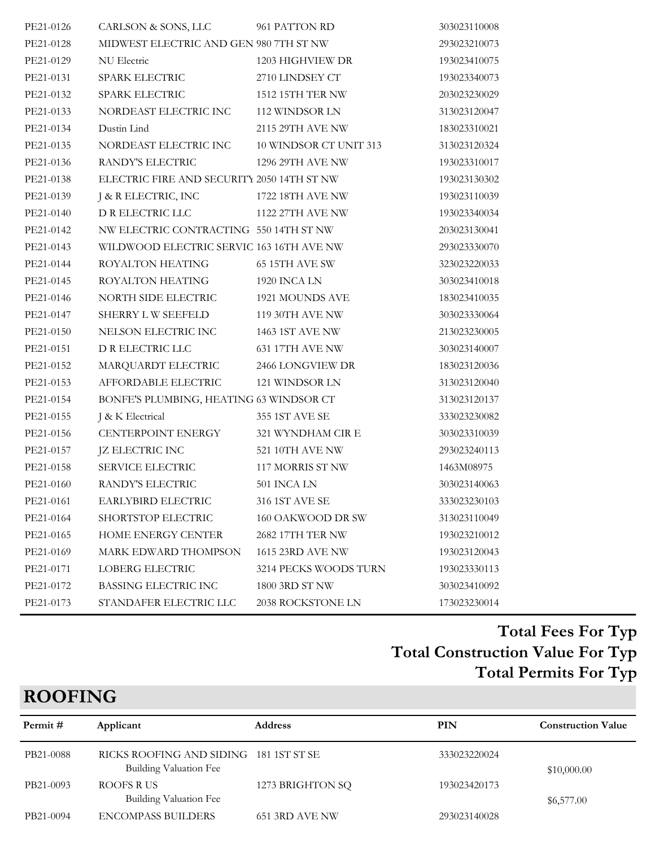| PE21-0126 | CARLSON & SONS, LLC                          | 961 PATTON RD         | 303023110008 |
|-----------|----------------------------------------------|-----------------------|--------------|
| PE21-0128 | MIDWEST ELECTRIC AND GEN 980 7TH ST NW       |                       | 293023210073 |
| PE21-0129 | NU Electric                                  | 1203 HIGHVIEW DR      | 193023410075 |
| PE21-0131 | SPARK ELECTRIC                               | 2710 LINDSEY CT       | 193023340073 |
| PE21-0132 | SPARK ELECTRIC                               | 1512 15TH TER NW      | 203023230029 |
| PE21-0133 | NORDEAST ELECTRIC INC                        | 112 WINDSOR LN        | 313023120047 |
| PE21-0134 | Dustin Lind                                  | 2115 29TH AVE NW      | 183023310021 |
| PE21-0135 | NORDEAST ELECTRIC INC 10 WINDSOR CT UNIT 313 |                       | 313023120324 |
| PE21-0136 | RANDY'S ELECTRIC                             | 1296 29TH AVE NW      | 193023310017 |
| PE21-0138 | ELECTRIC FIRE AND SECURITY 2050 14TH ST NW   |                       | 193023130302 |
| PE21-0139 | J & R ELECTRIC, INC                          | 1722 18TH AVE NW      | 193023110039 |
| PE21-0140 | D R ELECTRIC LLC                             | 1122 27TH AVE NW      | 193023340034 |
| PE21-0142 | NW ELECTRIC CONTRACTING 550 14TH ST NW       |                       | 203023130041 |
| PE21-0143 | WILDWOOD ELECTRIC SERVIC 163 16TH AVE NW     |                       | 293023330070 |
| PE21-0144 | ROYALTON HEATING                             | 65 15TH AVE SW        | 323023220033 |
| PE21-0145 | ROYALTON HEATING                             | 1920 INCA LN          | 303023410018 |
| PE21-0146 | NORTH SIDE ELECTRIC                          | 1921 MOUNDS AVE       | 183023410035 |
| PE21-0147 | SHERRY L W SEEFELD                           | 119 30TH AVE NW       | 303023330064 |
| PE21-0150 | NELSON ELECTRIC INC                          | 1463 1ST AVE NW       | 213023230005 |
| PE21-0151 | D R ELECTRIC LLC                             | 631 17TH AVE NW       | 303023140007 |
| PE21-0152 | MARQUARDT ELECTRIC                           | 2466 LONGVIEW DR      | 183023120036 |
| PE21-0153 | AFFORDABLE ELECTRIC                          | 121 WINDSOR LN        | 313023120040 |
| PE21-0154 | BONFE'S PLUMBING, HEATING 63 WINDSOR CT      |                       | 313023120137 |
| PE21-0155 | J & K Electrical                             | 355 1ST AVE SE        | 333023230082 |
| PE21-0156 | CENTERPOINT ENERGY                           | 321 WYNDHAM CIR E     | 303023310039 |
| PE21-0157 | JZ ELECTRIC INC                              | 521 10TH AVE NW       | 293023240113 |
| PE21-0158 | SERVICE ELECTRIC                             | 117 MORRIS ST NW      | 1463M08975   |
| PE21-0160 | RANDY'S ELECTRIC                             | 501 INCA LN           | 303023140063 |
| PE21-0161 | EARLYBIRD ELECTRIC                           | 316 1ST AVE SE        | 333023230103 |
| PE21-0164 | SHORTSTOP ELECTRIC                           | 160 OAKWOOD DR SW     | 313023110049 |
| PE21-0165 | <b>HOME ENERGY CENTER</b>                    | 2682 17TH TER NW      | 193023210012 |
| PE21-0169 | <b>MARK EDWARD THOMPSON</b>                  | 1615 23RD AVE NW      | 193023120043 |
| PE21-0171 | <b>LOBERG ELECTRIC</b>                       | 3214 PECKS WOODS TURN | 193023330113 |
| PE21-0172 | BASSING ELECTRIC INC                         | 1800 3RD ST NW        | 303023410092 |
| PE21-0173 | STANDAFER ELECTRIC LLC                       | 2038 ROCKSTONE LN     | 173023230014 |

# **ROOFING**

| Permit #  | Applicant                                                        | <b>Address</b>   | PIN          | <b>Construction Value</b> |
|-----------|------------------------------------------------------------------|------------------|--------------|---------------------------|
| PB21-0088 | RICKS ROOFING AND SIDING 181 1ST ST SE<br>Building Valuation Fee |                  | 333023220024 | \$10,000.00               |
| PB21-0093 | ROOFS R US<br>Building Valuation Fee                             | 1273 BRIGHTON SQ | 193023420173 | \$6,577.00                |
| PB21-0094 | <b>ENCOMPASS BUILDERS</b>                                        | 651 3RD AVE NW   | 293023140028 |                           |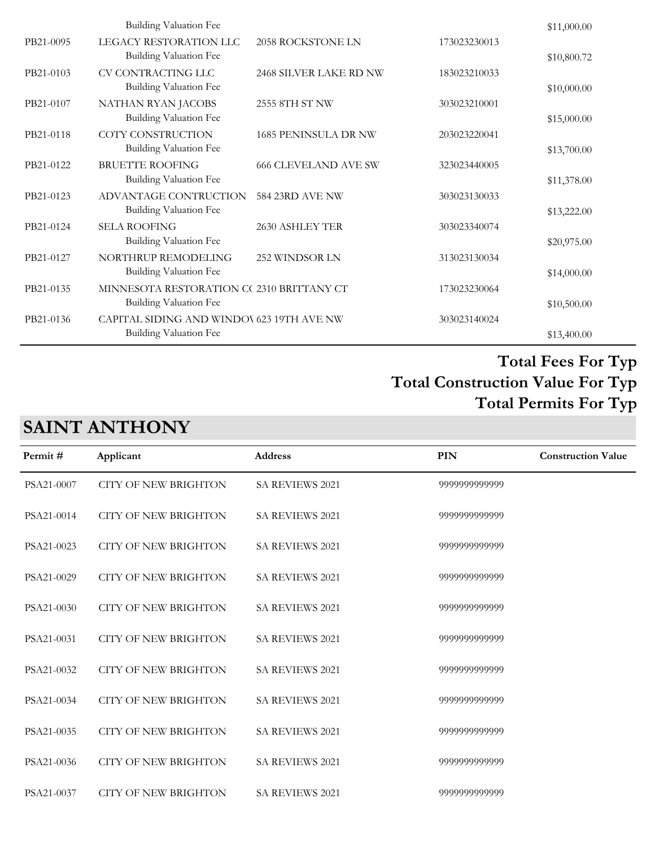|           | Building Valuation Fee                                                     |                             |              | \$11,000.00 |
|-----------|----------------------------------------------------------------------------|-----------------------------|--------------|-------------|
| PB21-0095 | LEGACY RESTORATION LLC<br>Building Valuation Fee                           | 2058 ROCKSTONE LN           | 173023230013 | \$10,800.72 |
| PB21-0103 | CV CONTRACTING LLC<br>Building Valuation Fee                               | 2468 SILVER LAKE RD NW      | 183023210033 | \$10,000.00 |
| PB21-0107 | NATHAN RYAN JACOBS<br>Building Valuation Fee                               | 2555 8TH ST NW              | 303023210001 | \$15,000.00 |
| PB21-0118 | COTY CONSTRUCTION<br><b>Building Valuation Fee</b>                         | 1685 PENINSULA DR NW        | 203023220041 | \$13,700.00 |
| PB21-0122 | <b>BRUETTE ROOFING</b><br>Building Valuation Fee                           | <b>666 CLEVELAND AVE SW</b> | 323023440005 | \$11,378.00 |
| PB21-0123 | ADVANTAGE CONTRUCTION<br><b>Building Valuation Fee</b>                     | 584 23RD AVE NW             | 303023130033 | \$13,222.00 |
| PB21-0124 | <b>SELA ROOFING</b><br>Building Valuation Fee                              | 2630 ASHLEY TER             | 303023340074 | \$20,975.00 |
| PB21-0127 | NORTHRUP REMODELING<br>Building Valuation Fee                              | 252 WINDSOR LN              | 313023130034 | \$14,000.00 |
| PB21-0135 | MINNESOTA RESTORATION CC 2310 BRITTANY CT<br><b>Building Valuation Fee</b> |                             | 173023230064 |             |
| PB21-0136 | CAPITAL SIDING AND WINDOV 623 19TH AVE NW                                  |                             | 303023140024 | \$10,500.00 |
|           | Building Valuation Fee                                                     |                             |              | \$13,400.00 |

# **SAINT ANTHONY**

| Permit#    | Applicant                   | <b>Address</b>         | <b>PIN</b>    | <b>Construction Value</b> |
|------------|-----------------------------|------------------------|---------------|---------------------------|
| PSA21-0007 | <b>CITY OF NEW BRIGHTON</b> | <b>SA REVIEWS 2021</b> | 9999999999999 |                           |
| PSA21-0014 | <b>CITY OF NEW BRIGHTON</b> | SA REVIEWS 2021        | 9999999999999 |                           |
| PSA21-0023 | <b>CITY OF NEW BRIGHTON</b> | <b>SA REVIEWS 2021</b> | 9999999999999 |                           |
| PSA21-0029 | <b>CITY OF NEW BRIGHTON</b> | <b>SA REVIEWS 2021</b> | 9999999999999 |                           |
| PSA21-0030 | <b>CITY OF NEW BRIGHTON</b> | <b>SA REVIEWS 2021</b> | 9999999999999 |                           |
| PSA21-0031 | <b>CITY OF NEW BRIGHTON</b> | <b>SA REVIEWS 2021</b> | 9999999999999 |                           |
| PSA21-0032 | <b>CITY OF NEW BRIGHTON</b> | <b>SA REVIEWS 2021</b> | 9999999999999 |                           |
| PSA21-0034 | <b>CITY OF NEW BRIGHTON</b> | SA REVIEWS 2021        | 9999999999999 |                           |
| PSA21-0035 | <b>CITY OF NEW BRIGHTON</b> | <b>SA REVIEWS 2021</b> | 9999999999999 |                           |
| PSA21-0036 | <b>CITY OF NEW BRIGHTON</b> | SA REVIEWS 2021        | 9999999999999 |                           |
| PSA21-0037 | <b>CITY OF NEW BRIGHTON</b> | <b>SA REVIEWS 2021</b> | 9999999999999 |                           |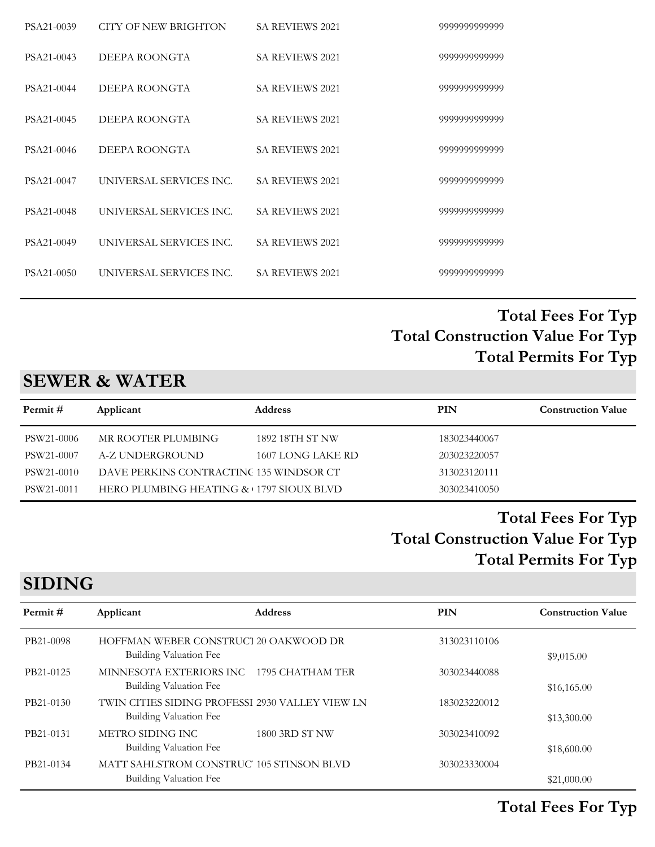| PSA21-0039 | CITY OF NEW BRIGHTON    | <b>SA REVIEWS 2021</b> | 9999999999999 |
|------------|-------------------------|------------------------|---------------|
| PSA21-0043 | DEEPA ROONGTA           | <b>SA REVIEWS 2021</b> | 9999999999999 |
| PSA21-0044 | DEEPA ROONGTA           | SA REVIEWS 2021        | 9999999999999 |
| PSA21-0045 | DEEPA ROONGTA           | <b>SA REVIEWS 2021</b> | 9999999999999 |
| PSA21-0046 | DEEPA ROONGTA           | <b>SA REVIEWS 2021</b> | 9999999999999 |
| PSA21-0047 | UNIVERSAL SERVICES INC. | <b>SA REVIEWS 2021</b> | 9999999999999 |
| PSA21-0048 | UNIVERSAL SERVICES INC. | <b>SA REVIEWS 2021</b> | 9999999999999 |
| PSA21-0049 | UNIVERSAL SERVICES INC. | <b>SA REVIEWS 2021</b> | 9999999999999 |
| PSA21-0050 | UNIVERSAL SERVICES INC. | <b>SA REVIEWS 2021</b> | 9999999999999 |
|            |                         |                        |               |

## **SEWER & WATER**

| Permit #   | Applicant                               | <b>Address</b>    | PIN          | <b>Construction Value</b> |
|------------|-----------------------------------------|-------------------|--------------|---------------------------|
| PSW21-0006 | MR ROOTER PLUMBING                      | 1892 18TH ST NW   | 183023440067 |                           |
| PSW21-0007 | A-Z UNDERGROUND                         | 1607 LONG LAKE RD | 203023220057 |                           |
| PSW21-0010 | DAVE PERKINS CONTRACTINC 135 WINDSOR CT |                   | 313023120111 |                           |
| PSW21-0011 | HERO PLUMBING HEATING & 1797 SIOUX BLVD |                   | 303023410050 |                           |

## **Total Construction Value For Typ Total Fees For Typ Total Permits For Typ**

# **SIDING**

| Permit#   | Applicant                                       | <b>Address</b> | PIN          | <b>Construction Value</b> |
|-----------|-------------------------------------------------|----------------|--------------|---------------------------|
| PB21-0098 | HOFFMAN WEBER CONSTRUCT 20 OAKWOOD DR           |                | 313023110106 |                           |
|           | Building Valuation Fee                          |                |              | \$9,015.00                |
| PB21-0125 | MINNESOTA EXTERIORS INC 1795 CHATHAM TER        |                | 303023440088 |                           |
|           | <b>Building Valuation Fee</b>                   |                |              | \$16,165.00               |
| PB21-0130 | TWIN CITIES SIDING PROFESSI 2930 VALLEY VIEW LN |                | 183023220012 |                           |
|           | Building Valuation Fee                          |                |              | \$13,300.00               |
| PB21-0131 | METRO SIDING INC                                | 1800 3RD ST NW | 303023410092 |                           |
|           | <b>Building Valuation Fee</b>                   |                |              | \$18,600.00               |
| PB21-0134 | MATT SAHLSTROM CONSTRUC' 105 STINSON BLVD       |                | 303023330004 |                           |
|           | Building Valuation Fee                          |                |              | \$21,000.00               |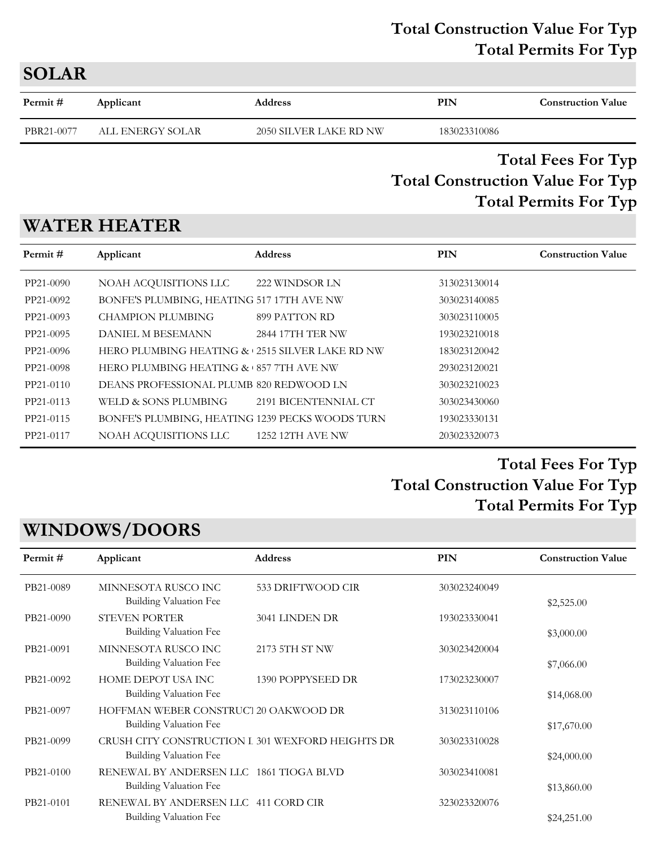#### **Total Construction Value For Typ Total Permits For Typ**

| <b>SOLAR</b> |                  |                        |              |                           |  |  |
|--------------|------------------|------------------------|--------------|---------------------------|--|--|
| Permit #     | Applicant        | <b>Address</b>         | PIN          | <b>Construction Value</b> |  |  |
| PBR21-0077   | ALL ENERGY SOLAR | 2050 SILVER LAKE RD NW | 183023310086 |                           |  |  |

## **Total Construction Value For Typ Total Fees For Typ Total Permits For Typ**

# **WATER HEATER**

| Permit#   | Applicant                                       | <b>Address</b>          | <b>PIN</b>   | <b>Construction Value</b> |
|-----------|-------------------------------------------------|-------------------------|--------------|---------------------------|
| PP21-0090 | NOAH ACQUISITIONS LLC                           | 222 WINDSOR LN          | 313023130014 |                           |
| PP21-0092 | BONFE'S PLUMBING, HEATING 517 17TH AVE NW       |                         | 303023140085 |                           |
| PP21-0093 | <b>CHAMPION PLUMBING</b>                        | 899 PATTON RD           | 303023110005 |                           |
| PP21-0095 | <b>DANIEL M BESEMANN</b>                        | <b>2844 17TH TER NW</b> | 193023210018 |                           |
| PP21-0096 | HERO PLUMBING HEATING & 2515 SILVER LAKE RD NW  |                         | 183023120042 |                           |
| PP21-0098 | HERO PLUMBING HEATING & 857 7TH AVE NW          |                         | 293023120021 |                           |
| PP21-0110 | DEANS PROFESSIONAL PLUMB 820 REDWOOD LN         |                         | 303023210023 |                           |
| PP21-0113 | WELD & SONS PLUMBING                            | 2191 BICENTENNIAL CT    | 303023430060 |                           |
| PP21-0115 | BONFE'S PLUMBING, HEATING 1239 PECKS WOODS TURN |                         | 193023330131 |                           |
| PP21-0117 | NOAH ACQUISITIONS LLC                           | 1252 12TH AVE NW        | 203023320073 |                           |

# **Total Construction Value For Typ Total Fees For Typ Total Permits For Typ**

# **WINDOWS/DOORS**

| Applicant                                      | <b>Address</b>         | PIN                                                                                                                                                                          | <b>Construction Value</b> |
|------------------------------------------------|------------------------|------------------------------------------------------------------------------------------------------------------------------------------------------------------------------|---------------------------|
| MINNESOTA RUSCO INC                            | 533 DRIFTWOOD CIR      | 303023240049                                                                                                                                                                 | \$2,525.00                |
| <b>STEVEN PORTER</b><br>Building Valuation Fee | 3041 LINDEN DR         | 193023330041                                                                                                                                                                 | \$3,000.00                |
| MINNESOTA RUSCO INC<br>Building Valuation Fee  | 2173 5TH ST NW         | 303023420004                                                                                                                                                                 | \$7,066.00                |
| HOME DEPOT USA INC<br>Building Valuation Fee   | 1390 POPPYSEED DR      | 173023230007                                                                                                                                                                 | \$14,068.00               |
| Building Valuation Fee                         |                        | 313023110106                                                                                                                                                                 | \$17,670.00               |
| Building Valuation Fee                         |                        | 303023310028                                                                                                                                                                 | \$24,000.00               |
| <b>Building Valuation Fee</b>                  |                        | 303023410081                                                                                                                                                                 | \$13,860.00               |
| Building Valuation Fee                         |                        | 323023320076                                                                                                                                                                 | \$24,251.00               |
|                                                | Building Valuation Fee | HOFFMAN WEBER CONSTRUCT 20 OAKWOOD DR<br>CRUSH CITY CONSTRUCTION I 301 WEXFORD HEIGHTS DR<br>RENEWAL BY ANDERSEN LLC 1861 TIOGA BLVD<br>RENEWAL BY ANDERSEN LLC 411 CORD CIR |                           |